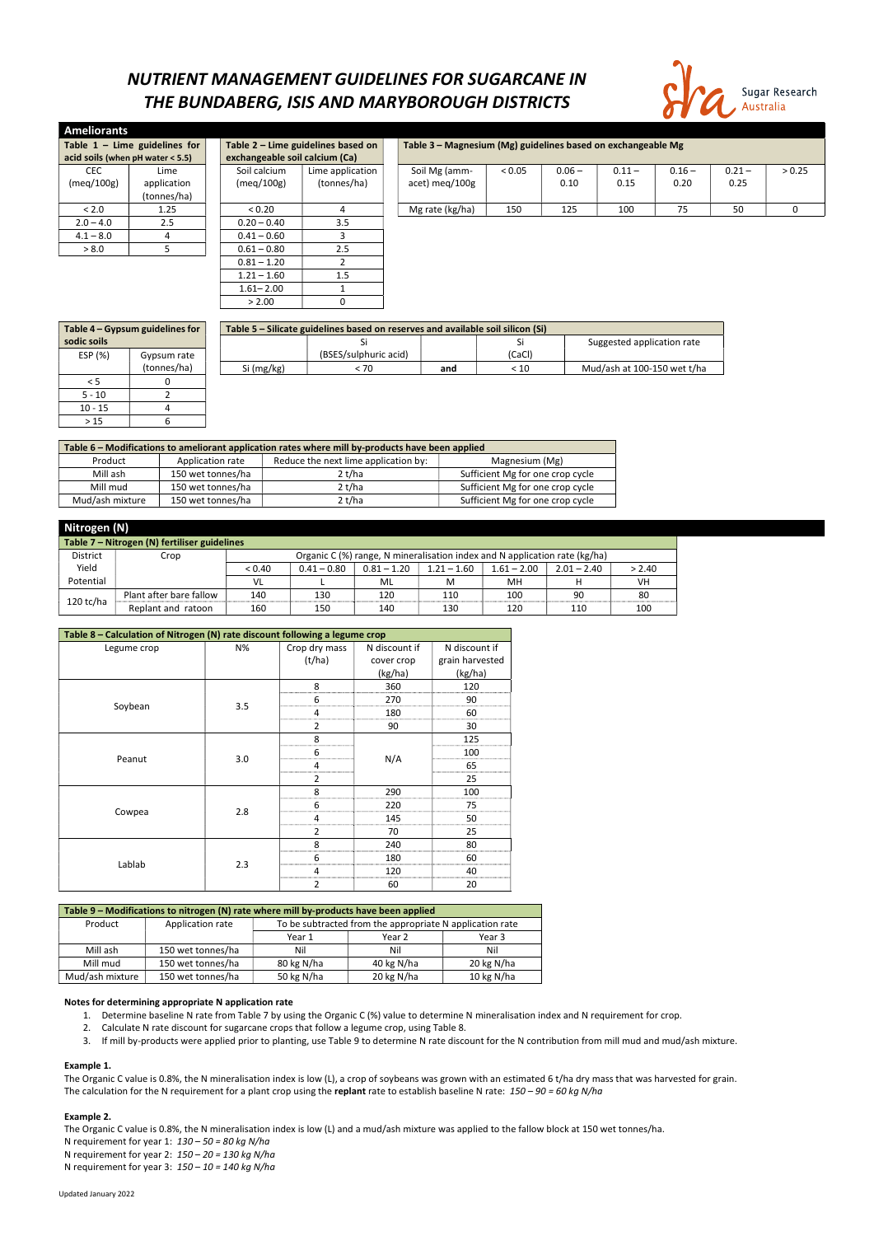#### Updated January 2022

## NUTRIENT MANAGEMENT GUIDELINES FOR SUGARCANE IN THE BUNDABERG, ISIS AND MARYBOROUGH DISTRICTS



| Ameliorants                      |             |  |                                |                                    |  |                                                              |        |          |          |          |          |        |
|----------------------------------|-------------|--|--------------------------------|------------------------------------|--|--------------------------------------------------------------|--------|----------|----------|----------|----------|--------|
| Table $1 -$ Lime guidelines for  |             |  |                                | Table 2 - Lime guidelines based on |  | Table 3 - Magnesium (Mg) guidelines based on exchangeable Mg |        |          |          |          |          |        |
| acid soils (when pH water < 5.5) |             |  | exchangeable soil calcium (Ca) |                                    |  |                                                              |        |          |          |          |          |        |
| <b>CEC</b>                       | Lime        |  | Soil calcium                   | Lime application                   |  | Soil Mg (amm-                                                | < 0.05 | $0.06 -$ | $0.11 -$ | $0.16 -$ | $0.21 -$ | > 0.25 |
| (meq/100g)                       | application |  | (meg/100g)                     | (tonnes/ha)                        |  | acet) meg/100g                                               |        | 0.10     | 0.15     | 0.20     | 0.25     |        |
|                                  | (tonnes/ha) |  |                                |                                    |  |                                                              |        |          |          |          |          |        |
| < 2.0                            | 1.25        |  | < 0.20                         |                                    |  | Mg rate (kg/ha)                                              | 150    | 125      | 100      | 75       | 50       | 0      |
| $2.0 - 4.0$                      | 2.5         |  | $0.20 - 0.40$                  | 3.5                                |  |                                                              |        |          |          |          |          |        |
| $4.1 - 8.0$                      |             |  | $0.41 - 0.60$                  |                                    |  |                                                              |        |          |          |          |          |        |
| > 8.0                            |             |  | $0.61 - 0.80$                  | 2.5                                |  |                                                              |        |          |          |          |          |        |
|                                  |             |  | $0.81 - 1.20$                  |                                    |  |                                                              |        |          |          |          |          |        |
|                                  |             |  | $1.21 - 1.60$                  | 1.5                                |  |                                                              |        |          |          |          |          |        |
|                                  |             |  | $1.61 - 2.00$                  |                                    |  |                                                              |        |          |          |          |          |        |

| Table 4 - Gypsum guidelines for |             | Table 5 - Silicate guidelines based on reserves and available soil silicon (Si) |                       |     |        |                             |  |  |  |
|---------------------------------|-------------|---------------------------------------------------------------------------------|-----------------------|-----|--------|-----------------------------|--|--|--|
| sodic soils                     |             |                                                                                 |                       |     |        | Suggested application rate  |  |  |  |
| ESP (%)                         | Gypsum rate |                                                                                 | (BSES/sulphuric acid) |     | (CaCl) |                             |  |  |  |
|                                 | (tonnes/ha) | Si (mg/kg)                                                                      | < 70                  | and | < 10   | Mud/ash at 100-150 wet t/ha |  |  |  |
|                                 |             |                                                                                 |                       |     |        |                             |  |  |  |
| $5 - 10$                        |             |                                                                                 |                       |     |        |                             |  |  |  |
| $10 - 15$                       |             |                                                                                 |                       |     |        |                             |  |  |  |
| >15                             |             |                                                                                 |                       |     |        |                             |  |  |  |

| Table 6 - Modifications to ameliorant application rates where mill by-products have been applied |                   |        |                                  |  |  |  |  |  |
|--------------------------------------------------------------------------------------------------|-------------------|--------|----------------------------------|--|--|--|--|--|
| Reduce the next lime application by:<br>Application rate<br>Product<br>Magnesium (Mg)            |                   |        |                                  |  |  |  |  |  |
| Mill ash                                                                                         | 150 wet tonnes/ha | 2 t/ha | Sufficient Mg for one crop cycle |  |  |  |  |  |
| Mill mud                                                                                         | 150 wet tonnes/ha | 2t/ha  | Sufficient Mg for one crop cycle |  |  |  |  |  |
| Mud/ash mixture                                                                                  | 150 wet tonnes/ha | 2 t/ha | Sufficient Mg for one crop cycle |  |  |  |  |  |

 $> 2.00$  0

The Organic C value is 0.8%, the N mineralisation index is low (L), a crop of soybeans was grown with an estimated 6 t/ha dry mass that was harvested for grain. The calculation for the N requirement for a plant crop using the replant rate to establish baseline N rate:  $150 - 90 = 60$  kg N/ha

| Nitrogen (N)                                 |                         |        |               |               |                                                                            |               |               |        |  |
|----------------------------------------------|-------------------------|--------|---------------|---------------|----------------------------------------------------------------------------|---------------|---------------|--------|--|
| Table 7 - Nitrogen (N) fertiliser guidelines |                         |        |               |               |                                                                            |               |               |        |  |
| District                                     | Crop                    |        |               |               | Organic C (%) range, N mineralisation index and N application rate (kg/ha) |               |               |        |  |
| Yield                                        |                         | < 0.40 | $0.41 - 0.80$ | $0.81 - 1.20$ | $1.21 - 1.60$                                                              | $1.61 - 2.00$ | $2.01 - 2.40$ | > 2.40 |  |
| Potential                                    |                         | VL     |               | ML            | M                                                                          | MН            |               | VH     |  |
|                                              | Plant after bare fallow | 140    | 130           | 120           | 110                                                                        | 100           | 90            | 80     |  |
| $120$ tc/ha                                  | Replant and ratoon      | 160    | 150           | 140           | 130                                                                        | 120           | 110           | 100    |  |

The Organic C value is 0.8%, the N mineralisation index is low (L) and a mud/ash mixture was applied to the fallow block at 150 wet tonnes/ha. N requirement for year 1:  $130 - 50 = 80$  kg N/ha N requirement for year 2:  $150 - 20 = 130$  kg N/ha N requirement for year 3:  $150 - 10 = 140$  kg N/ha

| Table 8 - Calculation of Nitrogen (N) rate discount following a legume crop |     |                |               |                 |  |  |  |  |  |
|-----------------------------------------------------------------------------|-----|----------------|---------------|-----------------|--|--|--|--|--|
| Legume crop                                                                 | N%  | Crop dry mass  | N discount if | N discount if   |  |  |  |  |  |
|                                                                             |     | (t/ha)         | cover crop    | grain harvested |  |  |  |  |  |
|                                                                             |     |                | (kg/ha)       | (kg/ha)         |  |  |  |  |  |
|                                                                             |     | 8              | 360           | 120             |  |  |  |  |  |
|                                                                             | 3.5 | 6              | 270           | 90              |  |  |  |  |  |
| Soybean                                                                     |     | 4              | 180           | 60              |  |  |  |  |  |
|                                                                             |     | $\overline{2}$ | 90            | 30              |  |  |  |  |  |
|                                                                             |     | 8              |               | 125             |  |  |  |  |  |
|                                                                             |     | 6              |               | 100             |  |  |  |  |  |
| Peanut                                                                      | 3.0 | 4              | N/A           | 65              |  |  |  |  |  |
|                                                                             |     | $\overline{2}$ |               | 25              |  |  |  |  |  |
|                                                                             |     | 8              | 290           | 100             |  |  |  |  |  |
|                                                                             |     | 6              | 220           | 75              |  |  |  |  |  |
| Cowpea                                                                      | 2.8 | 4              | 145           | 50              |  |  |  |  |  |
|                                                                             |     | $\overline{2}$ | 70            | 25              |  |  |  |  |  |
|                                                                             |     | 8              | 240           | 80              |  |  |  |  |  |
|                                                                             |     | 6              | 180           | 60              |  |  |  |  |  |
| Lablab                                                                      | 2.3 | 4              | 120           | 40              |  |  |  |  |  |
|                                                                             |     | 2              | 60            | 20              |  |  |  |  |  |

| Table 9 – Modifications to nitrogen (N) rate where mill by-products have been applied |         |                  |                                                          |  |  |  |  |
|---------------------------------------------------------------------------------------|---------|------------------|----------------------------------------------------------|--|--|--|--|
|                                                                                       | Product | Application rate | To be subtracted from the appropriate N application rate |  |  |  |  |

|                 |                   | Year 1     | Year 2     | Year 3     |
|-----------------|-------------------|------------|------------|------------|
| Mill ash        | 150 wet tonnes/ha | Nil        | Nil        | Nil        |
| Mill mud        | 150 wet tonnes/ha | 80 kg N/ha | 40 kg N/ha | 20 kg N/ha |
| Mud/ash mixture | 150 wet tonnes/ha | 50 kg N/ha | 20 kg N/ha | 10 kg N/ha |

#### Notes for determining appropriate N application rate

- 1. Determine baseline N rate from Table 7 by using the Organic C (%) value to determine N mineralisation index and N requirement for crop.
- 2. Calculate N rate discount for sugarcane crops that follow a legume crop, using Table 8.
- 3. If mill by-products were applied prior to planting, use Table 9 to determine N rate discount for the N contribution from mill mud and mud/ash mixture.

### Example 1.

#### Example 2.